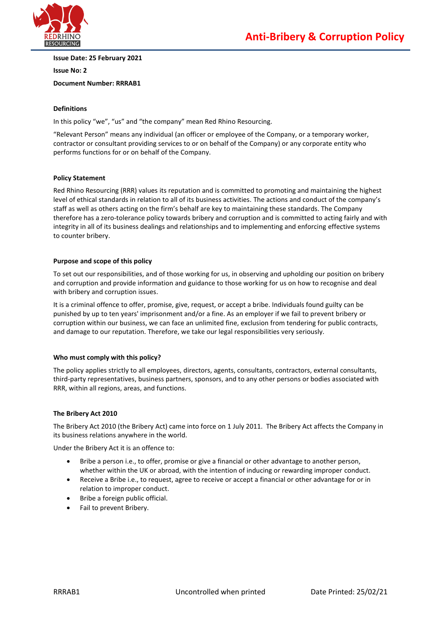

**Issue Date: 25 February 2021**

**Issue No: 2**

**Document Number: RRRAB1**

# **Definitions**

In this policy "we", "us" and "the company" mean Red Rhino Resourcing.

"Relevant Person" means any individual (an officer or employee of the Company, or a temporary worker, contractor or consultant providing services to or on behalf of the Company) or any corporate entity who performs functions for or on behalf of the Company.

## **Policy Statement**

Red Rhino Resourcing (RRR) values its reputation and is committed to promoting and maintaining the highest level of ethical standards in relation to all of its business activities. The actions and conduct of the company's staff as well as others acting on the firm's behalf are key to maintaining these standards. The Company therefore has a zero-tolerance policy towards bribery and corruption and is committed to acting fairly and with integrity in all of its business dealings and relationships and to implementing and enforcing effective systems to counter bribery.

### **Purpose and scope of this policy**

To set out our responsibilities, and of those working for us, in observing and upholding our position on bribery and corruption and provide information and guidance to those working for us on how to recognise and deal with bribery and corruption issues.

It is a criminal offence to offer, promise, give, request, or accept a bribe. Individuals found guilty can be punished by up to ten years' imprisonment and/or a fine. As an employer if we fail to prevent bribery or corruption within our business, we can face an unlimited fine, exclusion from tendering for public contracts, and damage to our reputation. Therefore, we take our legal responsibilities very seriously.

## **Who must comply with this policy?**

The policy applies strictly to all employees, directors, agents, consultants, contractors, external consultants, third-party representatives, business partners, sponsors, and to any other persons or bodies associated with RRR, within all regions, areas, and functions.

## **The Bribery Act 2010**

The Bribery Act 2010 (the Bribery Act) came into force on 1 July 2011. The Bribery Act affects the Company in its business relations anywhere in the world.

Under the Bribery Act it is an offence to:

- Bribe a person i.e., to offer, promise or give a financial or other advantage to another person, whether within the UK or abroad, with the intention of inducing or rewarding improper conduct.
- Receive a Bribe i.e., to request, agree to receive or accept a financial or other advantage for or in relation to improper conduct.
- Bribe a foreign public official.
- Fail to prevent Bribery.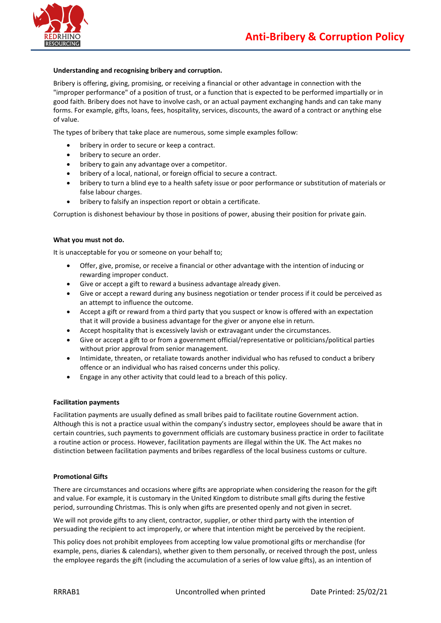

### **Understanding and recognising bribery and corruption.**

Bribery is offering, giving, promising, or receiving a financial or other advantage in connection with the "improper performance" of a position of trust, or a function that is expected to be performed impartially or in good faith. Bribery does not have to involve cash, or an actual payment exchanging hands and can take many forms. For example, gifts, loans, fees, hospitality, services, discounts, the award of a contract or anything else of value.

The types of bribery that take place are numerous, some simple examples follow:

- bribery in order to secure or keep a contract.
- bribery to secure an order.
- bribery to gain any advantage over a competitor.
- bribery of a local, national, or foreign official to secure a contract.
- bribery to turn a blind eye to a health safety issue or poor performance or substitution of materials or false labour charges.
- bribery to falsify an inspection report or obtain a certificate.

Corruption is dishonest behaviour by those in positions of power, abusing their position for private gain.

#### **What you must not do.**

It is unacceptable for you or someone on your behalf to;

- Offer, give, promise, or receive a financial or other advantage with the intention of inducing or rewarding improper conduct.
- Give or accept a gift to reward a business advantage already given.
- Give or accept a reward during any business negotiation or tender process if it could be perceived as an attempt to influence the outcome.
- Accept a gift or reward from a third party that you suspect or know is offered with an expectation that it will provide a business advantage for the giver or anyone else in return.
- Accept hospitality that is excessively lavish or extravagant under the circumstances.
- Give or accept a gift to or from a government official/representative or politicians/political parties without prior approval from senior management.
- Intimidate, threaten, or retaliate towards another individual who has refused to conduct a bribery offence or an individual who has raised concerns under this policy.
- Engage in any other activity that could lead to a breach of this policy.

#### **Facilitation payments**

Facilitation payments are usually defined as small bribes paid to facilitate routine Government action. Although this is not a practice usual within the company's industry sector, employees should be aware that in certain countries, such payments to government officials are customary business practice in order to facilitate a routine action or process. However, facilitation payments are illegal within the UK. The Act makes no distinction between facilitation payments and bribes regardless of the local business customs or culture.

#### **Promotional Gifts**

There are circumstances and occasions where gifts are appropriate when considering the reason for the gift and value. For example, it is customary in the United Kingdom to distribute small gifts during the festive period, surrounding Christmas. This is only when gifts are presented openly and not given in secret.

We will not provide gifts to any client, contractor, supplier, or other third party with the intention of persuading the recipient to act improperly, or where that intention might be perceived by the recipient.

This policy does not prohibit employees from accepting low value promotional gifts or merchandise (for example, pens, diaries & calendars), whether given to them personally, or received through the post, unless the employee regards the gift (including the accumulation of a series of low value gifts), as an intention of